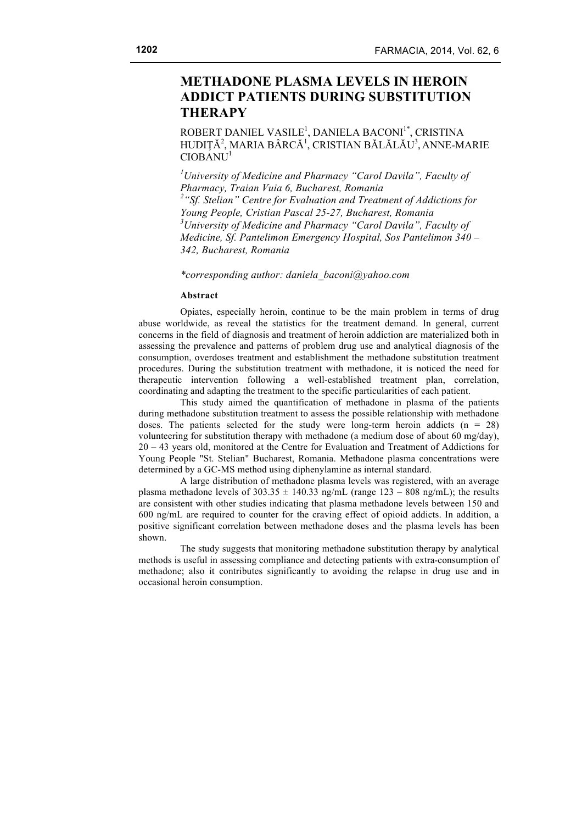# **METHADONE PLASMA LEVELS IN HEROIN ADDICT PATIENTS DURING SUBSTITUTION THERAPY**

ROBERT DANIEL VASILE<sup>1</sup>, DANIELA BACONI<sup>1\*</sup>, CRISTINA HUDIȚĂ<sup>2</sup>, MARIA BÂRCĂ<sup>1</sup>, CRISTIAN BĂLĂLĂU<sup>3</sup>, ANNE-MARIE  $CIOBANU<sup>1</sup>$ 

*1 University of Medicine and Pharmacy "Carol Davila", Faculty of Pharmacy, Traian Vuia 6, Bucharest, Romania 2 "Sf. Stelian" Centre for Evaluation and Treatment of Addictions for Young People, Cristian Pascal 25-27, Bucharest, Romania 3 University of Medicine and Pharmacy "Carol Davila", Faculty of Medicine, Sf. Pantelimon Emergency Hospital, Sos Pantelimon 340 – 342, Bucharest, Romania*

*\*corresponding author: daniela\_baconi@yahoo.com*

#### **Abstract**

Opiates, especially heroin, continue to be the main problem in terms of drug abuse worldwide, as reveal the statistics for the treatment demand. In general, current concerns in the field of diagnosis and treatment of heroin addiction are materialized both in assessing the prevalence and patterns of problem drug use and analytical diagnosis of the consumption, overdoses treatment and establishment the methadone substitution treatment procedures. During the substitution treatment with methadone, it is noticed the need for therapeutic intervention following a well-established treatment plan, correlation, coordinating and adapting the treatment to the specific particularities of each patient.

This study aimed the quantification of methadone in plasma of the patients during methadone substitution treatment to assess the possible relationship with methadone doses. The patients selected for the study were long-term heroin addicts  $(n = 28)$ volunteering for substitution therapy with methadone (a medium dose of about 60 mg/day), 20 – 43 years old, monitored at the Centre for Evaluation and Treatment of Addictions for Young People "St. Stelian" Bucharest, Romania. Methadone plasma concentrations were determined by a GC-MS method using diphenylamine as internal standard.

A large distribution of methadone plasma levels was registered, with an average plasma methadone levels of  $303.35 \pm 140.33$  ng/mL (range  $123 - 808$  ng/mL); the results are consistent with other studies indicating that plasma methadone levels between 150 and 600 ng/mL are required to counter for the craving effect of opioid addicts. In addition, a positive significant correlation between methadone doses and the plasma levels has been shown.

The study suggests that monitoring methadone substitution therapy by analytical methods is useful in assessing compliance and detecting patients with extra-consumption of methadone; also it contributes significantly to avoiding the relapse in drug use and in occasional heroin consumption.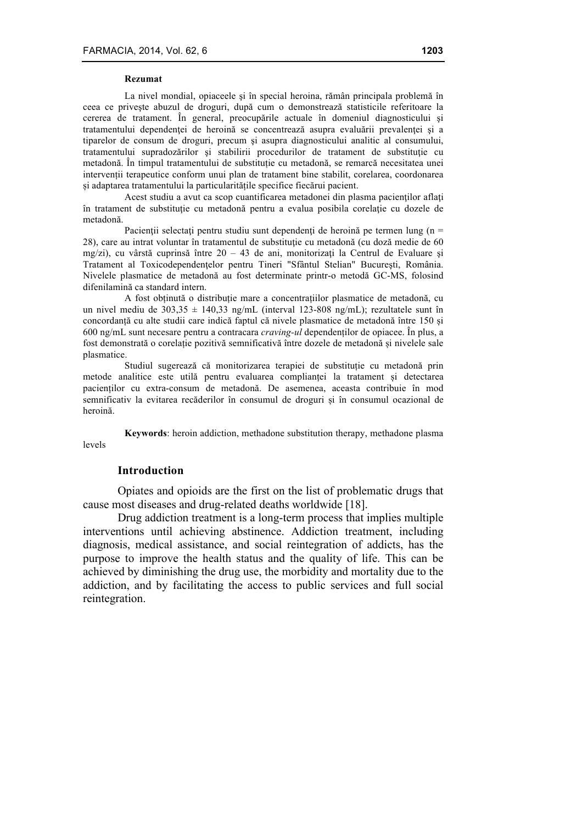#### **Rezumat**

La nivel mondial, opiaceele şi în special heroina, rămân principala problemă în ceea ce priveşte abuzul de droguri, după cum o demonstrează statisticile referitoare la cererea de tratament. În general, preocupările actuale în domeniul diagnosticului şi tratamentului dependenței de heroină se concentrează asupra evaluării prevalenței și a tiparelor de consum de droguri, precum şi asupra diagnosticului analitic al consumului, tratamentului supradozărilor și stabilirii procedurilor de tratament de substituție cu metadonă. În timpul tratamentului de substituție cu metadonă, se remarcă necesitatea unei intervenții terapeutice conform unui plan de tratament bine stabilit, corelarea, coordonarea și adaptarea tratamentului la particularitățile specifice fiecărui pacient.

Acest studiu a avut ca scop cuantificarea metadonei din plasma pacienţilor aflaţi în tratament de substituţie cu metadonă pentru a evalua posibila corelaţie cu dozele de metadonă.

Pacienții selectați pentru studiu sunt dependenți de heroină pe termen lung (n = 28), care au intrat voluntar în tratamentul de substituție cu metadonă (cu doză medie de 60 mg/zi), cu vârstă cuprinsă între  $20 - 43$  de ani, monitorizați la Centrul de Evaluare și Tratament al Toxicodependenţelor pentru Tineri "Sfântul Stelian" Bucureşti, România. Nivelele plasmatice de metadonă au fost determinate printr-o metodă GC-MS, folosind difenilamină ca standard intern.

A fost obținută o distribuție mare a concentrațiilor plasmatice de metadonă, cu un nivel mediu de  $303,35 \pm 140,33$  ng/mL (interval 123-808 ng/mL); rezultatele sunt în concordanță cu alte studii care indică faptul că nivele plasmatice de metadonă între 150 și 600 ng/mL sunt necesare pentru a contracara *craving-ul* dependenților de opiacee. În plus, a fost demonstrată o corelație pozitivă semnificativă între dozele de metadonă și nivelele sale plasmatice.

Studiul sugerează că monitorizarea terapiei de substituție cu metadonă prin metode analitice este utilă pentru evaluarea complianței la tratament și detectarea pacienților cu extra-consum de metadonă. De asemenea, aceasta contribuie în mod semnificativ la evitarea recăderilor în consumul de droguri și în consumul ocazional de heroină.

**Keywords**: heroin addiction, methadone substitution therapy, methadone plasma levels

## **Introduction**

Opiates and opioids are the first on the list of problematic drugs that cause most diseases and drug-related deaths worldwide [18].

Drug addiction treatment is a long-term process that implies multiple interventions until achieving abstinence. Addiction treatment, including diagnosis, medical assistance, and social reintegration of addicts, has the purpose to improve the health status and the quality of life. This can be achieved by diminishing the drug use, the morbidity and mortality due to the addiction, and by facilitating the access to public services and full social reintegration.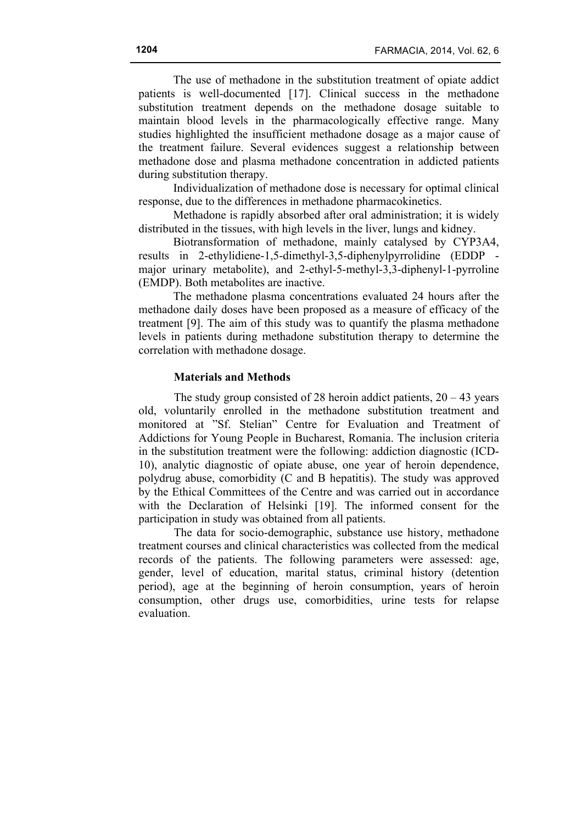The use of methadone in the substitution treatment of opiate addict patients is well-documented [17]. Clinical success in the methadone substitution treatment depends on the methadone dosage suitable to maintain blood levels in the pharmacologically effective range. Many studies highlighted the insufficient methadone dosage as a major cause of the treatment failure. Several evidences suggest a relationship between methadone dose and plasma methadone concentration in addicted patients during substitution therapy.

Individualization of methadone dose is necessary for optimal clinical response, due to the differences in methadone pharmacokinetics.

Methadone is rapidly absorbed after oral administration; it is widely distributed in the tissues, with high levels in the liver, lungs and kidney.

Biotransformation of methadone, mainly catalysed by CYP3A4, results in 2-ethylidiene-1,5-dimethyl-3,5-diphenylpyrrolidine (EDDP major urinary metabolite), and 2-ethyl-5-methyl-3,3-diphenyl-1-pyrroline (EMDP). Both metabolites are inactive.

The methadone plasma concentrations evaluated 24 hours after the methadone daily doses have been proposed as a measure of efficacy of the treatment [9]. The aim of this study was to quantify the plasma methadone levels in patients during methadone substitution therapy to determine the correlation with methadone dosage.

## **Materials and Methods**

The study group consisted of 28 heroin addict patients,  $20 - 43$  years old, voluntarily enrolled in the methadone substitution treatment and monitored at "Sf. Stelian" Centre for Evaluation and Treatment of Addictions for Young People in Bucharest, Romania. The inclusion criteria in the substitution treatment were the following: addiction diagnostic (ICD-10), analytic diagnostic of opiate abuse, one year of heroin dependence, polydrug abuse, comorbidity (C and B hepatitis). The study was approved by the Ethical Committees of the Centre and was carried out in accordance with the Declaration of Helsinki [19]. The informed consent for the participation in study was obtained from all patients.

The data for socio-demographic, substance use history, methadone treatment courses and clinical characteristics was collected from the medical records of the patients. The following parameters were assessed: age, gender, level of education, marital status, criminal history (detention period), age at the beginning of heroin consumption, years of heroin consumption, other drugs use, comorbidities, urine tests for relapse evaluation.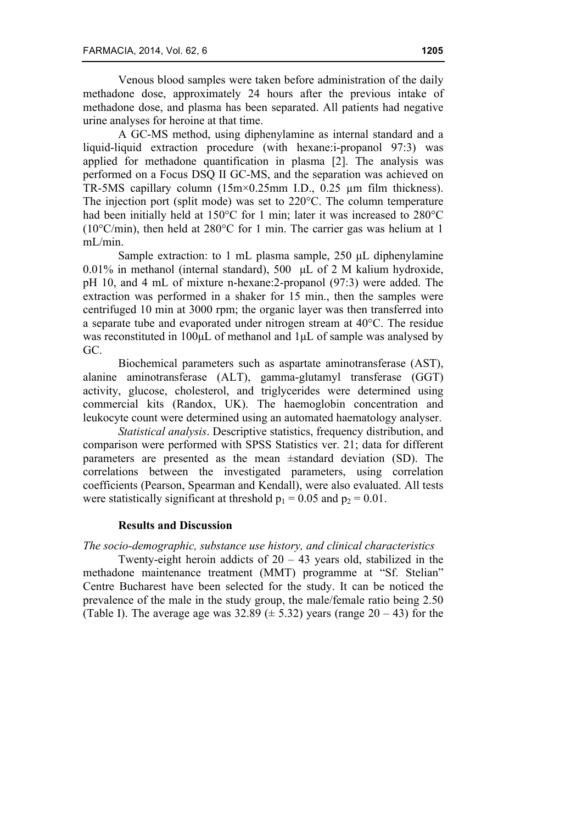Venous blood samples were taken before administration of the daily methadone dose, approximately 24 hours after the previous intake of methadone dose, and plasma has been separated. All patients had negative urine analyses for heroine at that time.

A GC-MS method, using diphenylamine as internal standard and a liquid-liquid extraction procedure (with hexane:i-propanol 97:3) was applied for methadone quantification in plasma [2]. The analysis was performed on a Focus DSQ II GC-MS, and the separation was achieved on TR-5MS capillary column (15m×0.25mm I.D., 0.25 µm film thickness). The injection port (split mode) was set to 220°C. The column temperature had been initially held at 150°C for 1 min; later it was increased to 280°C (10°C/min), then held at 280°C for 1 min. The carrier gas was helium at 1 mL/min.

Sample extraction: to 1 mL plasma sample, 250 µL diphenylamine 0.01% in methanol (internal standard), 500 µL of 2 M kalium hydroxide, pH 10, and 4 mL of mixture n-hexane:2-propanol (97:3) were added. The extraction was performed in a shaker for 15 min., then the samples were centrifuged 10 min at 3000 rpm; the organic layer was then transferred into a separate tube and evaporated under nitrogen stream at 40°C. The residue was reconstituted in 100µL of methanol and 1µL of sample was analysed by GC.

Biochemical parameters such as aspartate aminotransferase (AST), alanine aminotransferase (ALT), gamma-glutamyl transferase (GGT) activity, glucose, cholesterol, and triglycerides were determined using commercial kits (Randox, UK). The haemoglobin concentration and leukocyte count were determined using an automated haematology analyser.

*Statistical analysis*. Descriptive statistics, frequency distribution, and comparison were performed with SPSS Statistics ver. 21; data for different parameters are presented as the mean ±standard deviation (SD). The correlations between the investigated parameters, using correlation coefficients (Pearson, Spearman and Kendall), were also evaluated. All tests were statistically significant at threshold  $p_1 = 0.05$  and  $p_2 = 0.01$ .

## **Results and Discussion**

### *The socio-demographic, substance use history, and clinical characteristics*

Twenty-eight heroin addicts of  $20 - 43$  years old, stabilized in the methadone maintenance treatment (MMT) programme at "Sf. Stelian" Centre Bucharest have been selected for the study. It can be noticed the prevalence of the male in the study group, the male/female ratio being 2.50 (Table I). The average age was  $32.89 \ (\pm 5.32)$  years (range  $20 - 43$ ) for the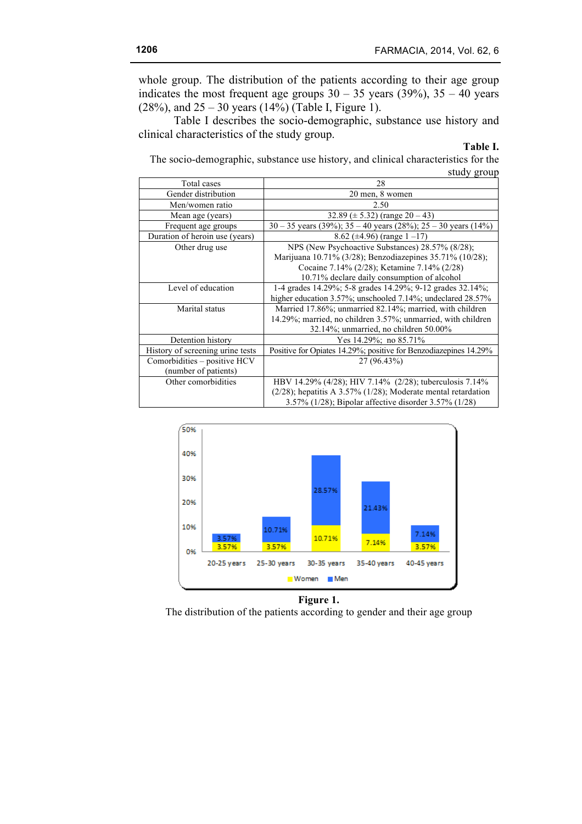whole group. The distribution of the patients according to their age group indicates the most frequent age groups  $30 - 35$  years (39%),  $35 - 40$  years (28%), and  $25 - 30$  years (14%) (Table I, Figure 1).

Table I describes the socio-demographic, substance use history and clinical characteristics of the study group.

#### **Table I.**

The socio-demographic, substance use history, and clinical characteristics for the study group

| Total cases                      | 28                                                                  |  |  |  |
|----------------------------------|---------------------------------------------------------------------|--|--|--|
| Gender distribution              | 20 men, 8 women                                                     |  |  |  |
| Men/women ratio                  | 2.50                                                                |  |  |  |
| Mean age (years)                 | 32.89 ( $\pm$ 5.32) (range 20 – 43)                                 |  |  |  |
| Frequent age groups              | $30 - 35$ years (39%); $35 - 40$ years (28%); $25 - 30$ years (14%) |  |  |  |
| Duration of heroin use (years)   | 8.62 ( $\pm$ 4.96) (range 1 -17)                                    |  |  |  |
| Other drug use                   | NPS (New Psychoactive Substances) 28.57% (8/28);                    |  |  |  |
|                                  | Marijuana 10.71% (3/28); Benzodiazepines 35.71% (10/28);            |  |  |  |
|                                  | Cocaine 7.14% (2/28); Ketamine 7.14% (2/28)                         |  |  |  |
|                                  | 10.71% declare daily consumption of alcohol                         |  |  |  |
| Level of education               | 1-4 grades 14.29%; 5-8 grades 14.29%; 9-12 grades 32.14%;           |  |  |  |
|                                  | higher education 3.57%; unschooled 7.14%; undeclared 28.57%         |  |  |  |
| Marital status                   | Married 17.86%; unmarried 82.14%; married, with children            |  |  |  |
|                                  | 14.29%; married, no children 3.57%; unmarried, with children        |  |  |  |
|                                  | 32.14%; unmarried, no children 50.00%                               |  |  |  |
| Detention history                | Yes 14.29%; no 85.71%                                               |  |  |  |
| History of screening urine tests | Positive for Opiates 14.29%; positive for Benzodiazepines 14.29%    |  |  |  |
| Comorbidities - positive HCV     | 27 (96.43%)                                                         |  |  |  |
| (number of patients)             |                                                                     |  |  |  |
| Other comorbidities              | HBV 14.29% (4/28); HIV 7.14% (2/28); tuberculosis 7.14%             |  |  |  |
|                                  | $(2/28)$ ; hepatitis A 3.57% $(1/28)$ ; Moderate mental retardation |  |  |  |
|                                  | 3.57% (1/28); Bipolar affective disorder 3.57% (1/28)               |  |  |  |



## **Figure 1.**

The distribution of the patients according to gender and their age group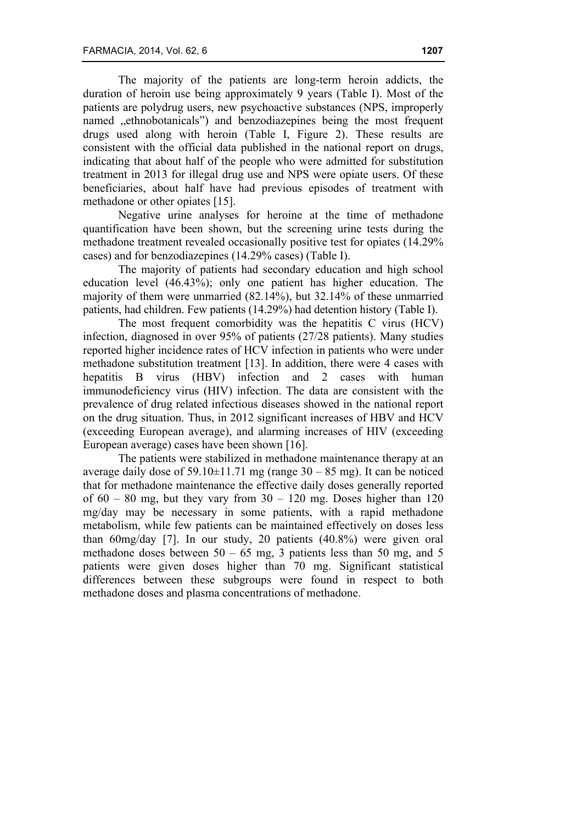The majority of the patients are long-term heroin addicts, the duration of heroin use being approximately 9 years (Table I). Most of the patients are polydrug users, new psychoactive substances (NPS, improperly named "ethnobotanicals") and benzodiazepines being the most frequent drugs used along with heroin (Table I, Figure 2). These results are consistent with the official data published in the national report on drugs, indicating that about half of the people who were admitted for substitution treatment in 2013 for illegal drug use and NPS were opiate users. Of these beneficiaries, about half have had previous episodes of treatment with methadone or other opiates [15].

Negative urine analyses for heroine at the time of methadone quantification have been shown, but the screening urine tests during the methadone treatment revealed occasionally positive test for opiates (14.29% cases) and for benzodiazepines (14.29% cases) (Table I).

The majority of patients had secondary education and high school education level (46.43%); only one patient has higher education. The majority of them were unmarried (82.14%), but 32.14% of these unmarried patients, had children. Few patients (14.29%) had detention history (Table I).

The most frequent comorbidity was the hepatitis C virus (HCV) infection, diagnosed in over 95% of patients (27/28 patients). Many studies reported higher incidence rates of HCV infection in patients who were under methadone substitution treatment [13]. In addition, there were 4 cases with hepatitis B virus (HBV) infection and 2 cases with human immunodeficiency virus (HIV) infection. The data are consistent with the prevalence of drug related infectious diseases showed in the national report on the drug situation. Thus, in 2012 significant increases of HBV and HCV (exceeding European average), and alarming increases of HIV (exceeding European average) cases have been shown [16].

The patients were stabilized in methadone maintenance therapy at an average daily dose of  $59.10\pm11.71$  mg (range  $30 - 85$  mg). It can be noticed that for methadone maintenance the effective daily doses generally reported of  $60 - 80$  mg, but they vary from  $30 - 120$  mg. Doses higher than 120 mg/day may be necessary in some patients, with a rapid methadone metabolism, while few patients can be maintained effectively on doses less than 60mg/day [7]. In our study, 20 patients (40.8%) were given oral methadone doses between  $50 - 65$  mg, 3 patients less than 50 mg, and 5 patients were given doses higher than 70 mg. Significant statistical differences between these subgroups were found in respect to both methadone doses and plasma concentrations of methadone.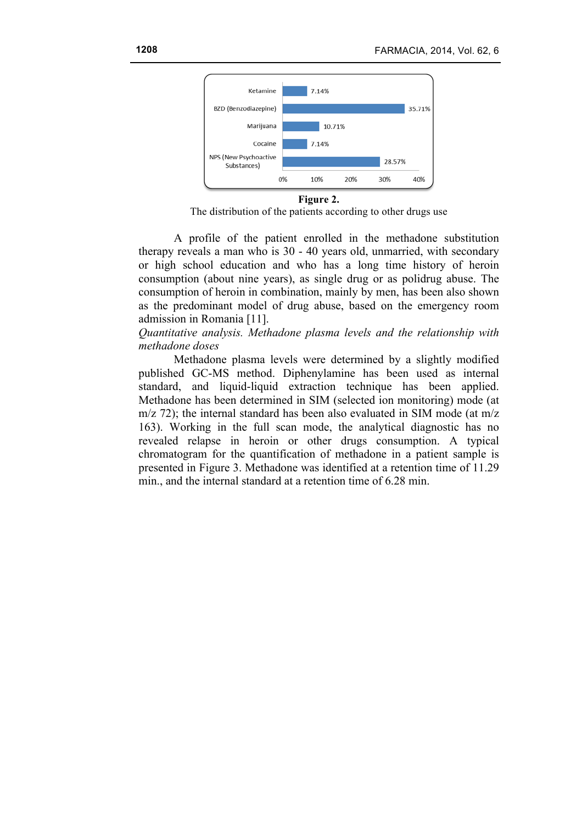

**Figure 2.**

The distribution of the patients according to other drugs use

A profile of the patient enrolled in the methadone substitution therapy reveals a man who is 30 - 40 years old, unmarried, with secondary or high school education and who has a long time history of heroin consumption (about nine years), as single drug or as polidrug abuse. The consumption of heroin in combination, mainly by men, has been also shown as the predominant model of drug abuse, based on the emergency room admission in Romania [11].

## *Quantitative analysis. Methadone plasma levels and the relationship with methadone doses*

Methadone plasma levels were determined by a slightly modified published GC-MS method. Diphenylamine has been used as internal standard, and liquid-liquid extraction technique has been applied. Methadone has been determined in SIM (selected ion monitoring) mode (at m/z 72); the internal standard has been also evaluated in SIM mode (at m/z 163). Working in the full scan mode, the analytical diagnostic has no revealed relapse in heroin or other drugs consumption. A typical chromatogram for the quantification of methadone in a patient sample is presented in Figure 3. Methadone was identified at a retention time of 11.29 min., and the internal standard at a retention time of 6.28 min.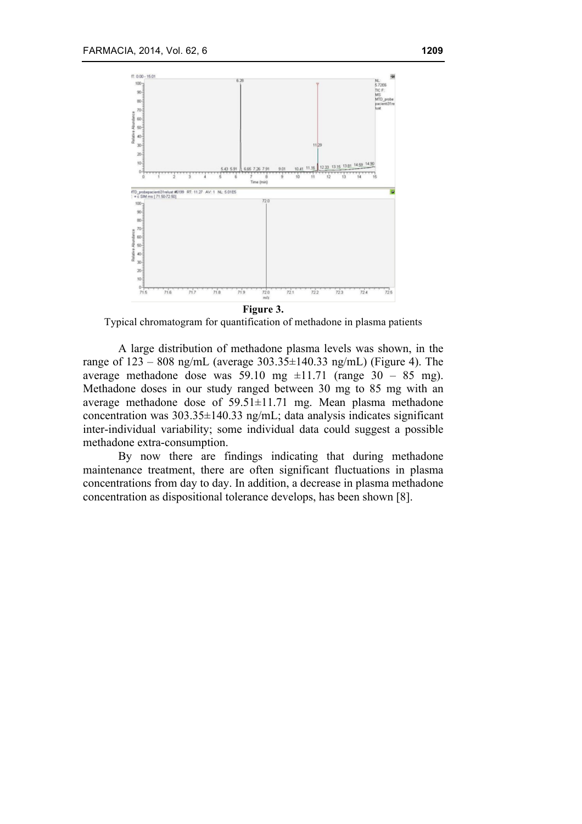

Typical chromatogram for quantification of methadone in plasma patients

A large distribution of methadone plasma levels was shown, in the range of  $123 - 808$  ng/mL (average  $303.35 \pm 140.33$  ng/mL) (Figure 4). The average methadone dose was 59.10 mg  $\pm$ 11.71 (range 30 – 85 mg). Methadone doses in our study ranged between 30 mg to 85 mg with an average methadone dose of 59.51±11.71 mg. Mean plasma methadone concentration was 303.35±140.33 ng/mL; data analysis indicates significant inter-individual variability; some individual data could suggest a possible methadone extra-consumption.

By now there are findings indicating that during methadone maintenance treatment, there are often significant fluctuations in plasma concentrations from day to day. In addition, a decrease in plasma methadone concentration as dispositional tolerance develops, has been shown [8].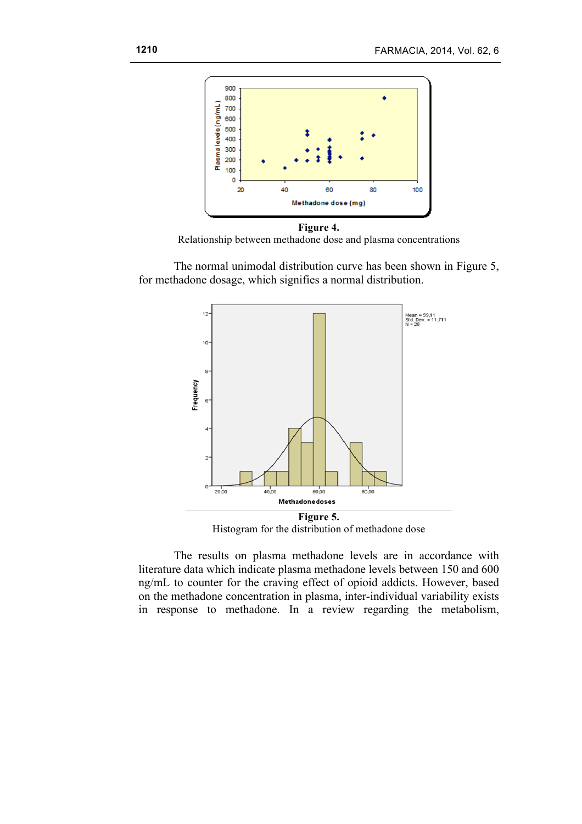

**Figure 4.** Relationship between methadone dose and plasma concentrations

The normal unimodal distribution curve has been shown in Figure 5, for methadone dosage, which signifies a normal distribution.



Histogram for the distribution of methadone dose

The results on plasma methadone levels are in accordance with literature data which indicate plasma methadone levels between 150 and 600 ng/mL to counter for the craving effect of opioid addicts. However, based on the methadone concentration in plasma, inter-individual variability exists in response to methadone. In a review regarding the metabolism,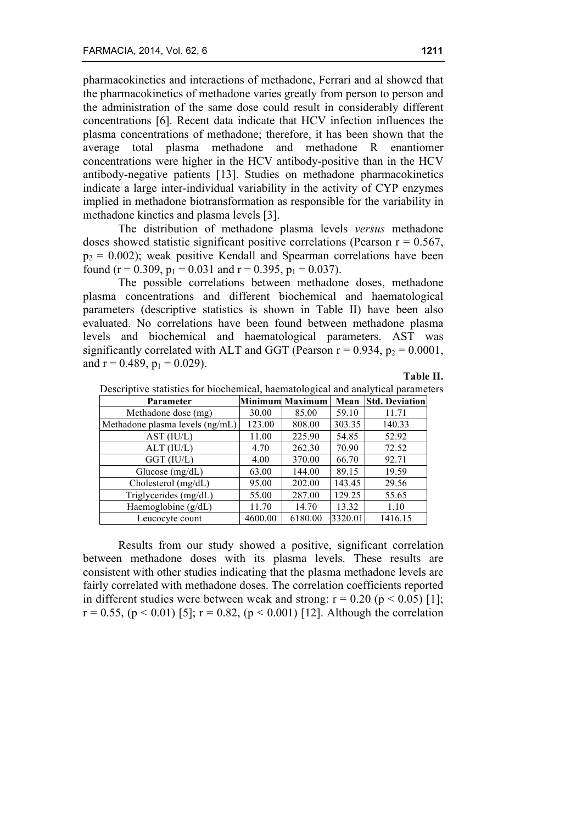pharmacokinetics and interactions of methadone, Ferrari and al showed that the pharmacokinetics of methadone varies greatly from person to person and the administration of the same dose could result in considerably different concentrations [6]. Recent data indicate that HCV infection influences the plasma concentrations of methadone; therefore, it has been shown that the average total plasma methadone and methadone R enantiomer concentrations were higher in the HCV antibody-positive than in the HCV antibody-negative patients [13]. Studies on methadone pharmacokinetics indicate a large inter-individual variability in the activity of CYP enzymes implied in methadone biotransformation as responsible for the variability in methadone kinetics and plasma levels [3].

The distribution of methadone plasma levels *versus* methadone doses showed statistic significant positive correlations (Pearson  $r = 0.567$ ,  $p_2$  = 0.002); weak positive Kendall and Spearman correlations have been found (r = 0.309,  $p_1 = 0.031$  and r = 0.395,  $p_1 = 0.037$ ).

The possible correlations between methadone doses, methadone plasma concentrations and different biochemical and haematological parameters (descriptive statistics is shown in Table II) have been also evaluated. No correlations have been found between methadone plasma levels and biochemical and haematological parameters. AST was significantly correlated with ALT and GGT (Pearson  $r = 0.934$ ,  $p_2 = 0.0001$ , and  $r = 0.489$ ,  $p_1 = 0.029$ ).

#### **Table II.**

| <b>Parameter</b>                |         | Minimum Maximum | Mean    | <b>Std. Deviation</b> |
|---------------------------------|---------|-----------------|---------|-----------------------|
| Methadone dose (mg)             | 30.00   | 85.00           | 59.10   | 11.71                 |
| Methadone plasma levels (ng/mL) | 123.00  | 808.00          | 303.35  | 140.33                |
| AST (IU/L)                      | 11.00   | 225.90          | 54.85   | 52.92                 |
| $ALT$ (IU/L)                    | 4.70    | 262.30          | 70.90   | 72.52                 |
| GGT (IU/L)                      | 4.00    | 370.00          | 66.70   | 92.71                 |
| Glucose $(mg/dL)$               | 63.00   | 144.00          | 89.15   | 19.59                 |
| Cholesterol (mg/dL)             | 95.00   | 202.00          | 143.45  | 29.56                 |
| Triglycerides (mg/dL)           | 55.00   | 287.00          | 129.25  | 55.65                 |
| Haemoglobine (g/dL)             | 11.70   | 14.70           | 13.32   | 1.10                  |
| Leucocyte count                 | 4600.00 | 6180.00         | 3320.01 | 1416.15               |

Descriptive statistics for biochemical, haematological and analytical parameters

Results from our study showed a positive, significant correlation between methadone doses with its plasma levels. These results are consistent with other studies indicating that the plasma methadone levels are fairly correlated with methadone doses. The correlation coefficients reported in different studies were between weak and strong:  $r = 0.20$  ( $p < 0.05$ ) [1];  $r = 0.55$ ,  $(p < 0.01)$  [5];  $r = 0.82$ ,  $(p < 0.001)$  [12]. Although the correlation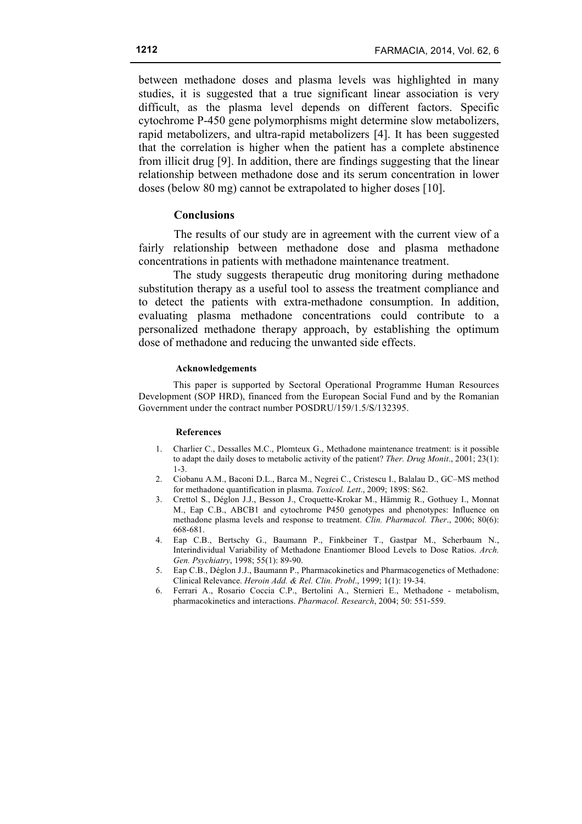between methadone doses and plasma levels was highlighted in many studies, it is suggested that a true significant linear association is very difficult, as the plasma level depends on different factors. Specific cytochrome P-450 gene polymorphisms might determine slow metabolizers, rapid metabolizers, and ultra-rapid metabolizers [4]. It has been suggested that the correlation is higher when the patient has a complete abstinence from illicit drug [9]. In addition, there are findings suggesting that the linear relationship between methadone dose and its serum concentration in lower doses (below 80 mg) cannot be extrapolated to higher doses [10].

## **Conclusions**

The results of our study are in agreement with the current view of a fairly relationship between methadone dose and plasma methadone concentrations in patients with methadone maintenance treatment.

The study suggests therapeutic drug monitoring during methadone substitution therapy as a useful tool to assess the treatment compliance and to detect the patients with extra-methadone consumption. In addition, evaluating plasma methadone concentrations could contribute to a personalized methadone therapy approach, by establishing the optimum dose of methadone and reducing the unwanted side effects.

#### **Acknowledgements**

This paper is supported by Sectoral Operational Programme Human Resources Development (SOP HRD), financed from the European Social Fund and by the Romanian Government under the contract number POSDRU/159/1.5/S/132395.

#### **References**

- 1. Charlier C., Dessalles M.C., Plomteux G., Methadone maintenance treatment: is it possible to adapt the daily doses to metabolic activity of the patient? *Ther. Drug Monit*., 2001; 23(1): 1-3.
- 2. Ciobanu A.M., Baconi D.L., Barca M., Negrei C., Cristescu I., Balalau D., GC–MS method for methadone quantification in plasma. *Toxicol. Lett*., 2009; 189S: S62.
- 3. Crettol S., Déglon J.J., Besson J., Croquette-Krokar M., Hämmig R., Gothuey I., Monnat M., Eap C.B., ABCB1 and cytochrome P450 genotypes and phenotypes: Influence on methadone plasma levels and response to treatment. *Clin. Pharmacol. Ther*., 2006; 80(6): 668-681.
- 4. Eap C.B., Bertschy G., Baumann P., Finkbeiner T., Gastpar M., Scherbaum N., Interindividual Variability of Methadone Enantiomer Blood Levels to Dose Ratios. *Arch. Gen. Psychiatry*, 1998; 55(1): 89-90.
- 5. Eap C.B., Déglon J.J., Baumann P., Pharmacokinetics and Pharmacogenetics of Methadone: Clinical Relevance. *Heroin Add. & Rel. Clin. Probl*., 1999; 1(1): 19-34.
- 6. Ferrari A., Rosario Coccia C.P., Bertolini A., Sternieri E., Methadone metabolism, pharmacokinetics and interactions. *Pharmacol. Research*, 2004; 50: 551-559.